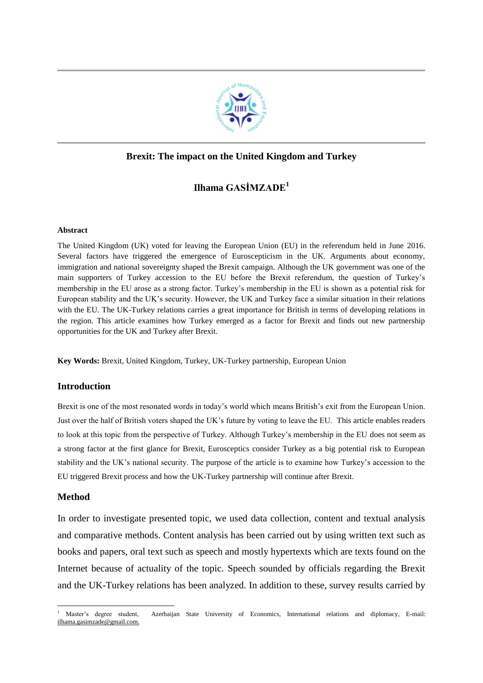

# **Brexit: The impact on the United Kingdom and Turkey**

# **Ilhama GASİMZADE<sup>1</sup>**

### **Abstract**

The United Kingdom (UK) voted for leaving the European Union (EU) in the referendum held in June 2016. Several factors have triggered the emergence of Euroscepticism in the UK. Arguments about economy, immigration and national sovereignty shaped the Brexit campaign. Although the UK government was one of the main supporters of Turkey accession to the EU before the Brexit referendum, the question of Turkey's membership in the EU arose as a strong factor. Turkey's membership in the EU is shown as a potential risk for European stability and the UK's security. However, the UK and Turkey face a similar situation in their relations with the EU. The UK-Turkey relations carries a great importance for British in terms of developing relations in the region. This article examines how Turkey emerged as a factor for Brexit and finds out new partnership opportunities for the UK and Turkey after Brexit.

**Key Words:** Brexit, United Kingdom, Turkey, UK-Turkey partnership, European Union

# **Introduction**

Brexit is one of the most resonated words in today's world which means British's exit from the European Union. Just over the half of British voters shaped the UK's future by voting to leave the EU. This article enables readers to look at this topic from the perspective of Turkey. Although Turkey's membership in the EU does not seem as a strong factor at the first glance for Brexit, Eurosceptics consider Turkey as a big potential risk to European stability and the UK's national security. The purpose of the article is to examine how Turkey's accession to the EU triggered Brexit process and how the UK-Turkey partnership will continue after Brexit.

# **Method**

 $\overline{a}$ 

In order to investigate presented topic, we used data collection, content and textual analysis and comparative methods. Content analysis has been carried out by using written text such as books and papers, oral text such as speech and mostly hypertexts which are texts found on the Internet because of actuality of the topic. Speech sounded by officials regarding the Brexit and the UK-Turkey relations has been analyzed. In addition to these, survey results carried by

<sup>&</sup>lt;sup>1</sup> Master's degree student, Azerbaijan State University of Economics, International relations and diplomacy, E-mail: [ilhama.gasimzade@gmail.com.](mailto:ilhama.gasimzade@gmail.com)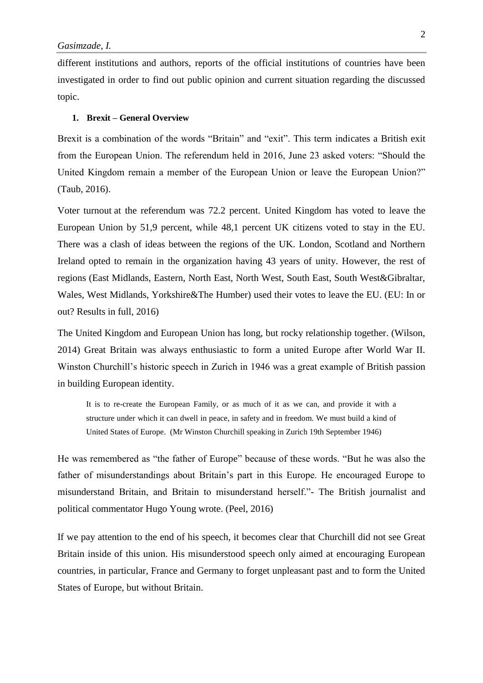different institutions and authors, reports of the official institutions of countries have been investigated in order to find out public opinion and current situation regarding the discussed topic.

#### **1. Brexit – General Overview**

Brexit is a combination of the words "Britain" and "exit". This term indicates a British exit from the European Union. The referendum held in 2016, June 23 asked voters: "Should the United Kingdom remain a member of the European Union or leave the European Union?" (Taub, 2016).

Voter turnout at the referendum was 72.2 percent. United Kingdom has voted to leave the European Union by 51,9 percent, while 48,1 percent UK citizens voted to stay in the EU. There was a clash of ideas between the regions of the UK. London, Scotland and Northern Ireland opted to remain in the organization having 43 years of unity. However, the rest of regions (East Midlands, Eastern, North East, North West, South East, South West&Gibraltar, Wales, West Midlands, Yorkshire&The Humber) used their votes to leave the EU. (EU: In or out? Results in full, 2016)

The United Kingdom and European Union has long, but rocky relationship together. (Wilson, 2014) Great Britain was always enthusiastic to form a united Europe after World War II. Winston Churchill's historic speech in Zurich in 1946 was a great example of British passion in building European identity.

It is to re-create the European Family, or as much of it as we can, and provide it with a structure under which it can dwell in peace, in safety and in freedom. We must build a kind of United States of Europe. (Mr Winston Churchill speaking in Zurich 19th September 1946)

He was remembered as "the father of Europe" because of these words. "But he was also the father of misunderstandings about Britain's part in this Europe. He encouraged Europe to misunderstand Britain, and Britain to misunderstand herself."- The British journalist and political commentator Hugo Young wrote. (Peel, 2016)

If we pay attention to the end of his speech, it becomes clear that Churchill did not see Great Britain inside of this union. His misunderstood speech only aimed at encouraging European countries, in particular, France and Germany to forget unpleasant past and to form the United States of Europe, but without Britain.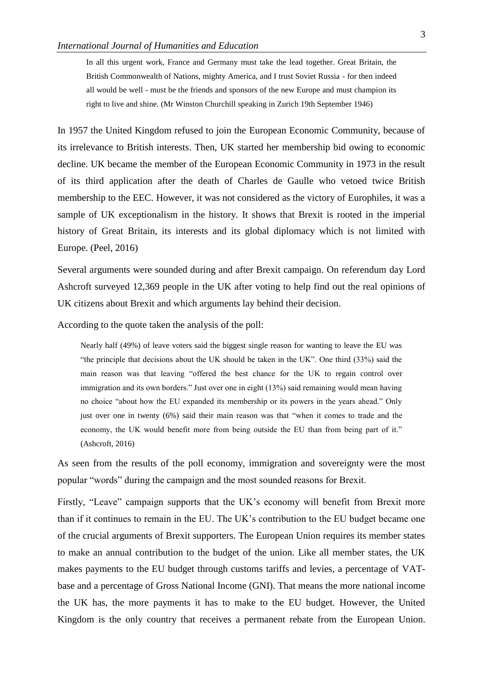In all this urgent work, France and Germany must take the lead together. Great Britain, the British Commonwealth of Nations, mighty America, and I trust Soviet Russia - for then indeed all would be well - must be the friends and sponsors of the new Europe and must champion its right to live and shine. (Mr Winston Churchill speaking in Zurich 19th September 1946)

In 1957 the United Kingdom refused to join the European Economic Community, because of its irrelevance to British interests. Then, UK started her membership bid owing to economic decline. UK became the member of the European Economic Community in 1973 in the result of its third application after the death of Charles de Gaulle who vetoed twice British membership to the EEC. However, it was not considered as the victory of Europhiles, it was a sample of UK exceptionalism in the history. It shows that Brexit is rooted in the imperial history of Great Britain, its interests and its global diplomacy which is not limited with Europe. (Peel, 2016)

Several arguments were sounded during and after Brexit campaign. On referendum day Lord Ashcroft surveyed 12,369 people in the UK after voting to help find out the real opinions of UK citizens about Brexit and which arguments lay behind their decision.

According to the quote taken the analysis of the poll:

Nearly half (49%) of leave voters said the biggest single reason for wanting to leave the EU was "the principle that decisions about the UK should be taken in the UK". One third (33%) said the main reason was that leaving "offered the best chance for the UK to regain control over immigration and its own borders." Just over one in eight (13%) said remaining would mean having no choice "about how the EU expanded its membership or its powers in the years ahead." Only just over one in twenty (6%) said their main reason was that "when it comes to trade and the economy, the UK would benefit more from being outside the EU than from being part of it." (Ashcroft, 2016)

As seen from the results of the poll economy, immigration and sovereignty were the most popular "words" during the campaign and the most sounded reasons for Brexit.

Firstly, "Leave" campaign supports that the UK's economy will benefit from Brexit more than if it continues to remain in the EU. The UK's contribution to the EU budget became one of the crucial arguments of Brexit supporters. The European Union requires its member states to make an annual contribution to the budget of the union. Like all member states, the UK makes payments to the EU budget through customs tariffs and levies, a percentage of VATbase and a percentage of Gross National Income (GNI). That means the more national income the UK has, the more payments it has to make to the EU budget. However, the United Kingdom is the only country that receives a permanent rebate from the European Union.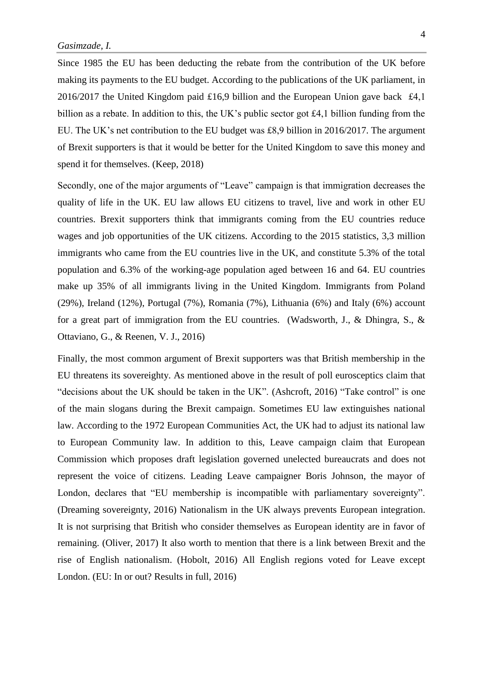Since 1985 the EU has been deducting the rebate from the contribution of the UK before making its payments to the EU budget. According to the publications of the UK parliament, in 2016/2017 the United Kingdom paid £16,9 billion and the European Union gave back £4,1 billion as a rebate. In addition to this, the UK's public sector got £4,1 billion funding from the EU. The UK's net contribution to the EU budget was £8,9 billion in 2016/2017. The argument of Brexit supporters is that it would be better for the United Kingdom to save this money and spend it for themselves. (Keep, 2018)

Secondly, one of the major arguments of "Leave" campaign is that immigration decreases the quality of life in the UK. EU law allows EU citizens to travel, live and work in other EU countries. Brexit supporters think that immigrants coming from the EU countries reduce wages and job opportunities of the UK citizens. According to the 2015 statistics, 3,3 million immigrants who came from the EU countries live in the UK, and constitute 5.3% of the total population and 6.3% of the working-age population aged between 16 and 64. EU countries make up 35% of all immigrants living in the United Kingdom. Immigrants from Poland (29%), Ireland (12%), Portugal (7%), Romania (7%), Lithuania (6%) and Italy (6%) account for a great part of immigration from the EU countries. (Wadsworth, J., & Dhingra, S., & Ottaviano, G., & Reenen, V. J., 2016)

Finally, the most common argument of Brexit supporters was that British membership in the EU threatens its sovereighty. As mentioned above in the result of poll eurosceptics claim that "decisions about the UK should be taken in the UK". (Ashcroft, 2016) "Take control" is one of the main slogans during the Brexit campaign. Sometimes EU law extinguishes national law. According to the 1972 European Communities Act, the UK had to adjust its national law to European Community law. In addition to this, Leave campaign claim that European Commission which proposes draft legislation governed unelected bureaucrats and does not represent the voice of citizens. Leading Leave campaigner Boris Johnson, the mayor of London, declares that "EU membership is incompatible with parliamentary sovereignty". (Dreaming sovereignty, 2016) Nationalism in the UK always prevents European integration. It is not surprising that British who consider themselves as European identity are in favor of remaining. (Oliver, 2017) It also worth to mention that there is a link between Brexit and the rise of English nationalism. (Hobolt, 2016) All English regions voted for Leave except London. (EU: In or out? Results in full, 2016)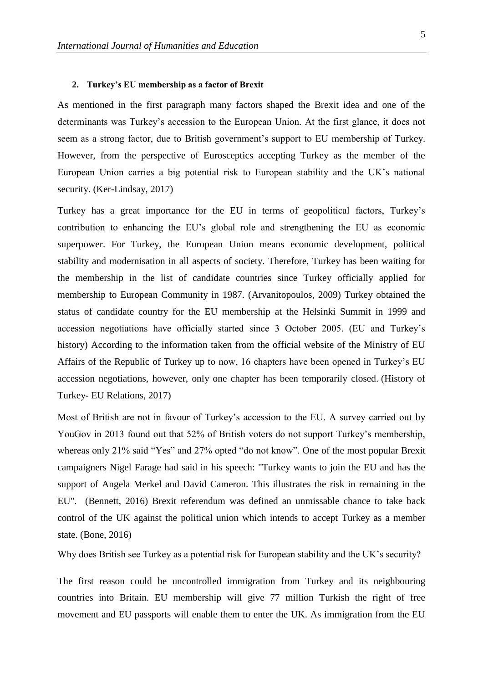### **2. Turkey's EU membership as a factor of Brexit**

As mentioned in the first paragraph many factors shaped the Brexit idea and one of the determinants was Turkey's accession to the European Union. At the first glance, it does not seem as a strong factor, due to British government's support to EU membership of Turkey. However, from the perspective of Eurosceptics accepting Turkey as the member of the European Union carries a big potential risk to European stability and the UK's national security. (Ker-Lindsay, 2017)

Turkey has a great importance for the EU in terms of geopolitical factors, Turkey's contribution to enhancing the EU's global role and strengthening the EU as economic superpower. For Turkey, the European Union means economic development, political stability and modernisation in all aspects of society. Therefore, Turkey has been waiting for the membership in the list of candidate countries since Turkey officially applied for membership to European Community in 1987. (Arvanitopoulos, 2009) Turkey obtained the status of candidate country for the EU membership at the Helsinki Summit in 1999 and accession negotiations have officially started since 3 October 2005. (EU and Turkey's history) According to the information taken from the official website of the Ministry of EU Affairs of the Republic of Turkey up to now, 16 chapters have been opened in Turkey's EU accession negotiations, however, only one chapter has been temporarily closed. (History of Turkey- EU Relations, 2017)

Most of British are not in favour of Turkey's accession to the EU. A survey carried out by YouGov in 2013 found out that 52% of British voters do not support Turkey's membership, whereas only 21% said "Yes" and 27% opted "do not know". One of the most popular Brexit campaigners Nigel Farage had said in his speech: "Turkey wants to join the EU and has the support of Angela Merkel and David Cameron. This illustrates the risk in remaining in the EU". (Bennett, 2016) Brexit referendum was defined an unmissable chance to take back control of the UK against the political union which intends to accept Turkey as a member state. (Bone, 2016)

Why does British see Turkey as a potential risk for European stability and the UK's security?

The first reason could be uncontrolled immigration from Turkey and its neighbouring countries into Britain. EU membership will give 77 million Turkish the right of free movement and EU passports will enable them to enter the UK. As immigration from the EU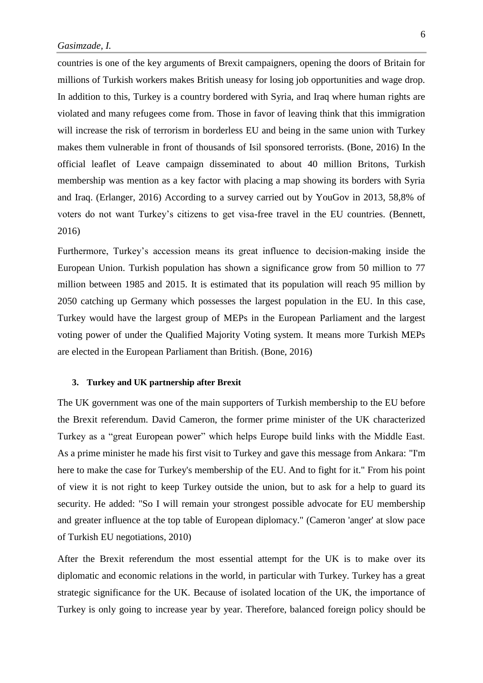countries is one of the key arguments of Brexit campaigners, opening the doors of Britain for millions of Turkish workers makes British uneasy for losing job opportunities and wage drop. In addition to this, Turkey is a country bordered with Syria, and Iraq where human rights are violated and many refugees come from. Those in favor of leaving think that this immigration will increase the risk of terrorism in borderless EU and being in the same union with Turkey makes them vulnerable in front of thousands of Isil sponsored terrorists. (Bone, 2016) In the official leaflet of Leave campaign disseminated to about 40 million Britons, Turkish membership was mention as a key factor with placing a map showing its borders with Syria and Iraq. (Erlanger, 2016) According to a survey carried out by YouGov in 2013, 58,8% of voters do not want Turkey's citizens to get visa-free travel in the EU countries. (Bennett, 2016)

Furthermore, Turkey's accession means its great influence to decision-making inside the European Union. Turkish population has shown a significance grow from 50 million to 77 million between 1985 and 2015. It is estimated that its population will reach 95 million by 2050 catching up Germany which possesses the largest population in the EU. In this case, Turkey would have the largest group of MEPs in the European Parliament and the largest voting power of under the Qualified Majority Voting system. It means more Turkish MEPs are elected in the European Parliament than British. (Bone, 2016)

#### **3. Turkey and UK partnership after Brexit**

The UK government was one of the main supporters of Turkish membership to the EU before the Brexit referendum. David Cameron, the former prime minister of the UK characterized Turkey as a "great European power" which helps Europe build links with the Middle East. As a prime minister he made his first visit to Turkey and gave this message from Ankara: "I'm here to make the case for Turkey's membership of the EU. And to fight for it." From his point of view it is not right to keep Turkey outside the union, but to ask for a help to guard its security. He added: "So I will remain your strongest possible advocate for EU membership and greater influence at the top table of European diplomacy." (Cameron 'anger' at slow pace of Turkish EU negotiations, 2010)

After the Brexit referendum the most essential attempt for the UK is to make over its diplomatic and economic relations in the world, in particular with Turkey. Turkey has a great strategic significance for the UK. Because of isolated location of the UK, the importance of Turkey is only going to increase year by year. Therefore, balanced foreign policy should be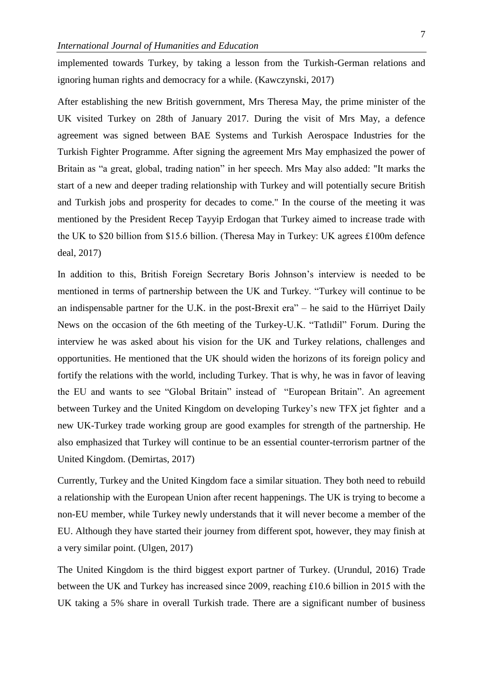implemented towards Turkey, by taking a lesson from the Turkish-German relations and ignoring human rights and democracy for a while. [\(Kawczynski,](https://thearabweekly.com/daniel-kawczynski) 2017)

After establishing the new British government, Mrs Theresa May, the prime minister of the UK visited Turkey on 28th of January 2017. During the visit of Mrs May, a defence agreement was signed between BAE Systems and Turkish Aerospace Industries for the Turkish Fighter Programme. After signing the agreement Mrs May emphasized the power of Britain as "a great, global, trading nation" in her speech. Mrs May also added: "It marks the start of a new and deeper trading relationship with Turkey and will potentially secure British and Turkish jobs and prosperity for decades to come." In the course of the meeting it was mentioned by the President Recep Tayyip Erdogan that Turkey aimed to increase trade with the UK to \$20 billion from \$15.6 billion. (Theresa May in Turkey: UK agrees £100m defence deal, 2017)

In addition to this, British Foreign Secretary Boris Johnson's interview is needed to be mentioned in terms of partnership between the UK and Turkey. "Turkey will continue to be an indispensable partner for the U.K. in the post-Brexit era" – he said to the Hürriyet Daily News on the occasion of the 6th meeting of the Turkey-U.K. "Tatlıdil" Forum. During the interview he was asked about his vision for the UK and Turkey relations, challenges and opportunities. He mentioned that the UK should widen the horizons of its foreign policy and fortify the relations with the world, including Turkey. That is why, he was in favor of leaving the EU and wants to see "Global Britain" instead of "European Britain". An agreement between Turkey and the United Kingdom on developing Turkey's new TFX jet fighter and a new UK-Turkey trade working group are good examples for strength of the partnership. He also emphasized that Turkey will continue to be an essential counter-terrorism partner of the United Kingdom. (Demirtas, 2017)

Currently, Turkey and the United Kingdom face a similar situation. They both need to rebuild a relationship with the European Union after recent happenings. The UK is trying to become a non-EU member, while Turkey newly understands that it will never become a member of the EU. Although they have started their journey from different spot, however, they may finish at a very similar point. (Ulgen, 2017)

The United Kingdom is the third biggest export partner of Turkey. (Urundul, 2016) Trade between the UK and Turkey has increased since 2009, reaching £10.6 billion in 2015 with the UK taking a 5% share in overall Turkish trade. There are a significant number of business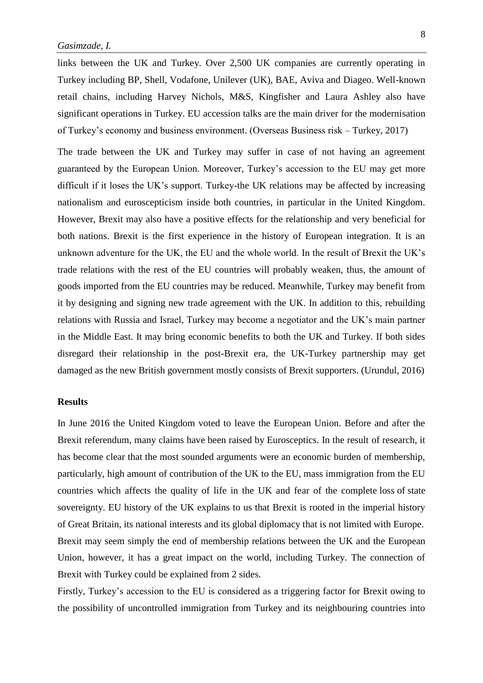links between the UK and Turkey. Over 2,500 UK companies are currently operating in Turkey including BP, Shell, Vodafone, Unilever (UK), BAE, Aviva and Diageo. Well-known retail chains, including Harvey Nichols, M&S, Kingfisher and Laura Ashley also have significant operations in Turkey. EU accession talks are the main driver for the modernisation of Turkey's economy and business environment. (Overseas Business risk – Turkey, 2017)

The trade between the UK and Turkey may suffer in case of not having an agreement guaranteed by the European Union. Moreover, Turkey's accession to the EU may get more difficult if it loses the UK's support. Turkey-the UK relations may be affected by increasing nationalism and euroscepticism inside both countries, in particular in the United Kingdom. However, Brexit may also have a positive effects for the relationship and very beneficial for both nations. Brexit is the first experience in the history of European integration. It is an unknown adventure for the UK, the EU and the whole world. In the result of Brexit the UK's trade relations with the rest of the EU countries will probably weaken, thus, the amount of goods imported from the EU countries may be reduced. Meanwhile, Turkey may benefit from it by designing and signing new trade agreement with the UK. In addition to this, rebuilding relations with Russia and Israel, Turkey may become a negotiator and the UK's main partner in the Middle East. It may bring economic benefits to both the UK and Turkey. If both sides disregard their relationship in the post-Brexit era, the UK-Turkey partnership may get damaged as the new British government mostly consists of Brexit supporters. (Urundul, 2016)

### **Results**

In June 2016 the United Kingdom voted to leave the European Union. Before and after the Brexit referendum, many claims have been raised by Eurosceptics. In the result of research, it has become clear that the most sounded arguments were an economic burden of membership, particularly, high amount of contribution of the UK to the EU, mass immigration from the EU countries which affects the quality of life in the UK and fear of the complete loss of state sovereignty. EU history of the UK explains to us that Brexit is rooted in the imperial history of Great Britain, its national interests and its global diplomacy that is not limited with Europe. Brexit may seem simply the end of membership relations between the UK and the European Union, however, it has a great impact on the world, including Turkey. The connection of Brexit with Turkey could be explained from 2 sides.

Firstly, Turkey's accession to the EU is considered as a triggering factor for Brexit owing to the possibility of uncontrolled immigration from Turkey and its neighbouring countries into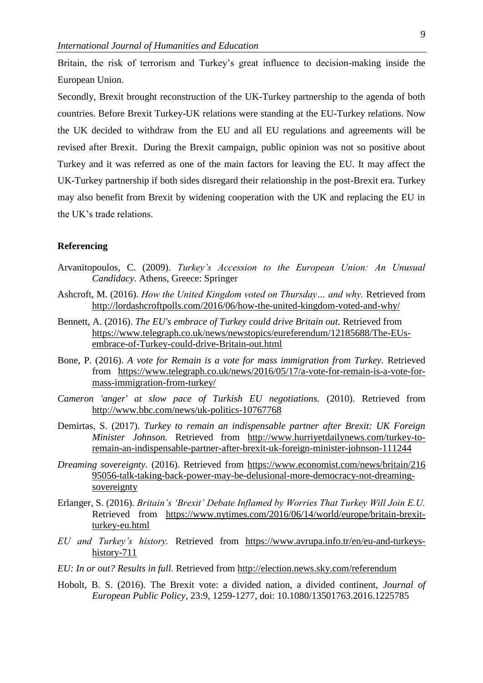Britain, the risk of terrorism and Turkey's great influence to decision-making inside the European Union.

Secondly, Brexit brought reconstruction of the UK-Turkey partnership to the agenda of both countries. Before Brexit Turkey-UK relations were standing at the EU-Turkey relations. Now the UK decided to withdraw from the EU and all EU regulations and agreements will be revised after Brexit. During the Brexit campaign, public opinion was not so positive about Turkey and it was referred as one of the main factors for leaving the EU. It may affect the UK-Turkey partnership if both sides disregard their relationship in the post-Brexit era. Turkey may also benefit from Brexit by widening cooperation with the UK and replacing the EU in the UK's trade relations.

## **Referencing**

- Arvanitopoulos, C. (2009). *Turkey's Accession to the European Union: An Unusual Candidacy.* Athens, Greece: Springer
- Ashcroft, M. (2016). *How the United Kingdom voted on Thursday… and why.* Retrieved from <http://lordashcroftpolls.com/2016/06/how-the-united-kingdom-voted-and-why/>
- Bennett, A. (2016). *The EU's embrace of Turkey could drive Britain out.* Retrieved from [https://www.telegraph.co.uk/news/newstopics/eureferendum/12185688/The-EUs](https://www.telegraph.co.uk/news/newstopics/eureferendum/12185688/The-EUs-embrace-of-Turkey-could-drive-Britain-out.html)[embrace-of-Turkey-could-drive-Britain-out.html](https://www.telegraph.co.uk/news/newstopics/eureferendum/12185688/The-EUs-embrace-of-Turkey-could-drive-Britain-out.html)
- Bone, P. (2016). *A vote for Remain is a vote for mass immigration from Turkey.* Retrieved from [https://www.telegraph.co.uk/news/2016/05/17/a-vote-for-remain-is-a-vote-for](https://www.telegraph.co.uk/news/2016/05/17/a-vote-for-remain-is-a-vote-for-mass-immigration-from-turkey/)[mass-immigration-from-turkey/](https://www.telegraph.co.uk/news/2016/05/17/a-vote-for-remain-is-a-vote-for-mass-immigration-from-turkey/)
- *Cameron 'anger' at slow pace of Turkish EU negotiations.* (2010). Retrieved from <http://www.bbc.com/news/uk-politics-10767768>
- Demirtas, S. (2017). *Turkey to remain an indispensable partner after Brexit: UK Foreign Minister Johnson.* Retrieved from [http://www.hurriyetdailynews.com/turkey-to](http://www.hurriyetdailynews.com/turkey-to-remain-an-indispensable-partner-after-brexit-uk-foreign-minister-johnson-111244)[remain-an-indispensable-partner-after-brexit-uk-foreign-minister-johnson-111244](http://www.hurriyetdailynews.com/turkey-to-remain-an-indispensable-partner-after-brexit-uk-foreign-minister-johnson-111244)
- *Dreaming sovereignty.* (2016). Retrieved from [https://www.economist.com/news/britain/216](https://www.economist.com/news/britain/216%2095056-talk-taking-back-power-may-be-delusional-more-democracy-not-dreaming-sovereignty)  [95056-talk-taking-back-power-may-be-delusional-more-democracy-not-dreaming](https://www.economist.com/news/britain/216%2095056-talk-taking-back-power-may-be-delusional-more-democracy-not-dreaming-sovereignty)[sovereignty](https://www.economist.com/news/britain/216%2095056-talk-taking-back-power-may-be-delusional-more-democracy-not-dreaming-sovereignty)
- Erlanger, S. (2016). *Britain's 'Brexit' Debate Inflamed by Worries That Turkey Will Join E.U.*  Retrieved from [https://www.nytimes.com/2016/06/14/world/europe/britain-brexit](https://www.nytimes.com/2016/06/14/world/europe/britain-brexit-turkey-eu.html)[turkey-eu.html](https://www.nytimes.com/2016/06/14/world/europe/britain-brexit-turkey-eu.html)
- *EU and Turkey's history.* Retrieved from [https://www.avrupa.info.tr/en/eu-and-turkeys](https://www.avrupa.info.tr/en/eu-and-turkeys-history-711)[history-711](https://www.avrupa.info.tr/en/eu-and-turkeys-history-711)
- *EU: In or out? Results in full.* Retrieved from <http://election.news.sky.com/referendum>
- Hobolt, B. S. (2016). The Brexit vote: a divided nation, a divided continent, *Journal of European Public Policy,* 23:9, 1259-1277, doi: [10.1080/13501763.2016.1225785](https://doi.org/10.1080/13501763.2016.1225785)